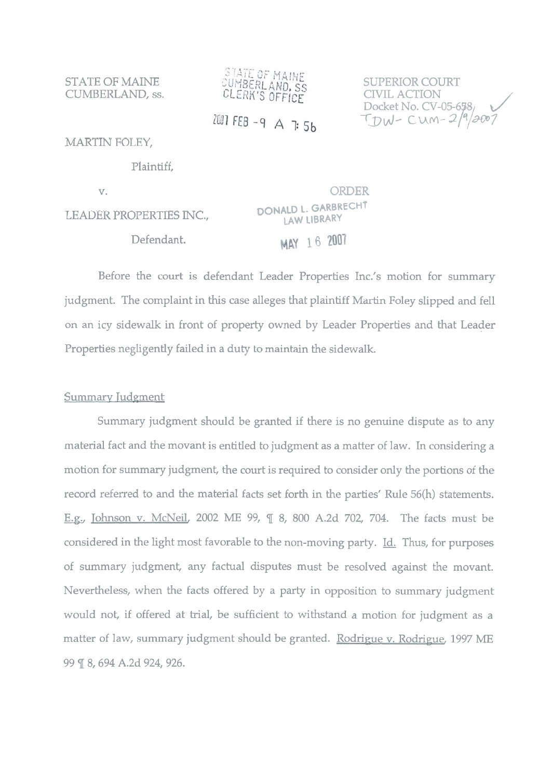STATE OF MAINE CUMBERLAND, ss.



SUPERIOR COURT CIVIL ACTION Docket No. CV-05-6 $5\%$  $T_{DW}$ - cum-2/9/2007

2007 FEB - 9 A 7: 5b

MARTIN FOLEY,

Plaintiff,

v.

LEADER PROPERTIES INC., Defendant.

ORDER **DONALD 1. GARBRECHT LAW LIBRARY**  MAY 16 2007

Before the court is defendant Leader Properties Inc.'s motion for summary judgment. The complaint in this case alleges that plaintiff Martin Foley slipped and fell on an icy sidewalk in front of property owned by Leader Properties and that Leader Properties negligently failed in a duty to maintain the sidewalk.

## Summary Judgment

Summary judgment should be granted if there is no genuine dispute as to any material fact and the movant is entitled to judgment as a matter of law. In considering a motion for summary judgment, the court is required to consider only the portions of the record referred to and the material facts set forth in the parties' Rule 56(h) statements. **E.n.,** Johnson v. McNeil, 2002 ME 99, ¶ 8, 800 A.2d 702, 704. The facts must be considered in the light most favorable to the non-moving party. Id. Thus, for purposes of summary judgment, any factual disputes must be resolved against the movant. Nevertheless, when the facts offered by a party in opposition to summary judgment would not, if offered at trial, be sufficient to withstand a motion for judgment as a matter of law, summary judgment should be granted. Rodrigue v. Rodrigue, 1997 ME 99 ¶ 8, 694 A.2d 924, 926.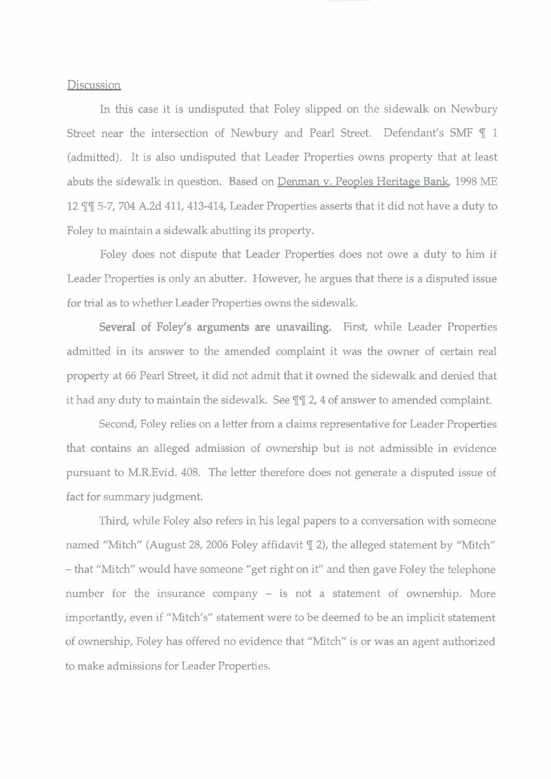## **Discussion**

In this case it is undisputed that Foley slipped on the sidewalk on Newbury Street near the intersection of Newbury and Pearl Street. Defendant's **SMF** ¶ 1 (admitted). It is also undisputed that Leader Properties owns property that at least abuts the sidewalk in question. Based on Denman v. Peoples Heritage Bank, 1998 ME 12 II 5-7, 704 A.2d 411, 413-414, Leader Properties asserts that it did not have a duty to Foley to maintain a sidewalk abutting its property.

Foley does not dispute that Leader Properties does not owe a duty to him if Leader Properties is only an abutter. However, he argues that there is a disputed issue for trial as to whether Leader Properties owns the sidewalk.

Several of Foley's arguments are unavailing. First, while Leader Properties admitted in its answer to the amended complaint it was the owner of certain real property at 66 Pearl Street, it did not admit that it owned the sidewalk and denied that it had any duty to maintain the sidewalk. See ¶¶ 2, 4 of answer to amended complaint.

Second, Foley relies on a letter from a claims representative for Leader Properties that contains an alleged admission of ownership but is not admissible in evidence pursuant to M.R.Evid. 408. The letter therefore does not generate a disputed issue of fact for summary judgment.

Third, while Foley also refers in his legal papers to a conversation with someone named "Mitch" (August 28, 2006 Foley affidavit  $\mathbb{T}$  2), the alleged statement by "Mitch" - that "Mitch" would have someone "get right on it" and then gave Foley the telephone number for the insurance company  $-$  is not a statement of ownership. More importantly, even if "Mitch's" statement were to be deemed to be an implicit statement of ownership, Foley has offered no evidence that "Mitch" is or was an agent authorized to make admissions for Leader Properties.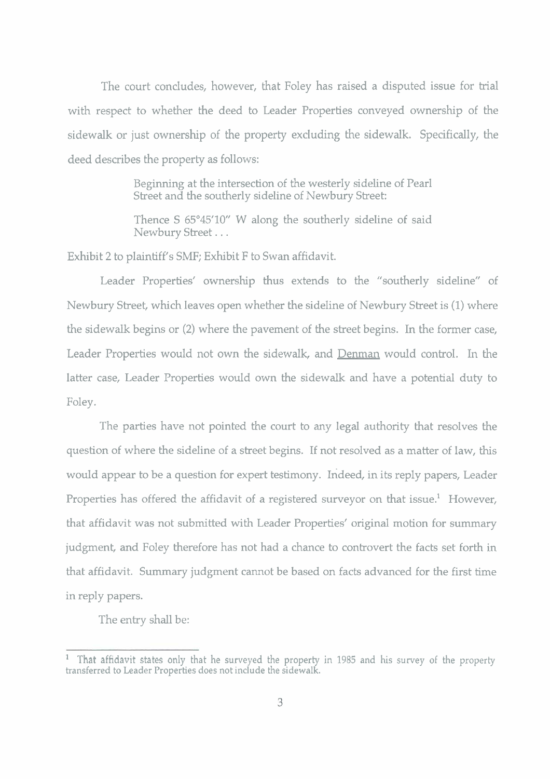The court concludes, however, that Foley has raised a disputed issue for trial with respect to whether the deed to Leader Properties conveyed ownership of the sidewalk or just ownership of the property excluding the sidewalk. Specifically, the deed describes the property as follows:

> Beginning at the intersection of the westerly sideline of Pearl Street and the southerly sideline of Newbury Street:

> Thence S 65'45'10" W along the southerly sideline of said Newbury Street...

Exhibit **2** to plaintiff's SMF; Exhibit F to Swan affidavit.

Leader Properties' ownership thus extends to the "southerly sideline" of Newbury Street, which leaves open whether the sideline of Newbury Street is (1) where the sidewalk begins or **(2)** where the pavement of the street begins. In the former case, Leader Properties would not own the sidewalk, and Denman would control. In the latter case, Leader Properties would own the sidewalk and have a potential duty to Foley.

The parties have not pointed the court to any legal authority that resolves the question of where the sideline of a street begins. If not resolved as a matter of law, this would appear to be a question for expert testimony. Indeed, in its reply papers, Leader Properties has offered the affidavit of a registered surveyor on that issue.<sup>1</sup> However, that affidavit was not submitted with Leader Properties' original motion for summary judgment, and Foley therefore has not had a chance to controvert the facts set forth in that affidavit. Summary judgment cannot be based on facts advanced for the first time in reply papers.

The entry shall be:

That affidavit states only that he surveyed the property in 1985 and his survey of the property transferred to Leader Properties does not include the sidewalk.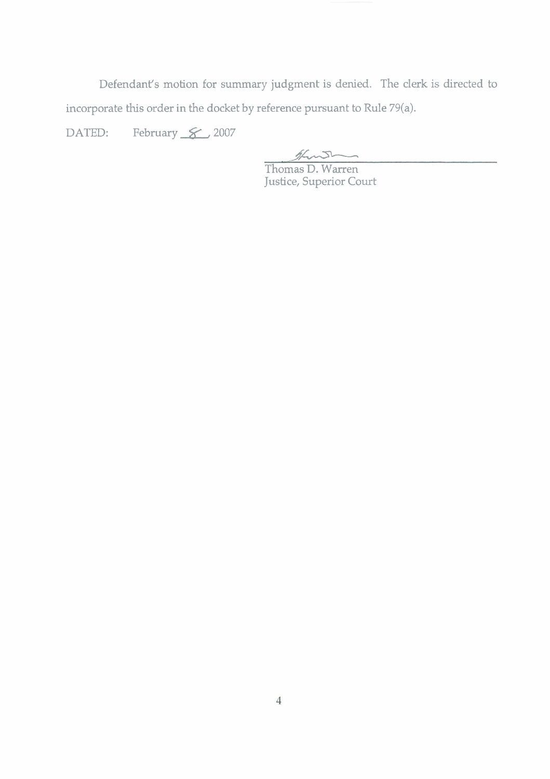Defendant's motion for summary judgment is denied. The clerk is directed to incorporate this order in the docket by reference pursuant to Rule 79(a).

DATED: February  $\cancel{\mathcal{L}}$ , 2007

- **yK------** 

 $\label{eq:2.1} \frac{1}{\sqrt{2}}\int_{\mathbb{R}^3}\frac{1}{\sqrt{2}}\left(\frac{1}{\sqrt{2}}\right)^2\frac{1}{\sqrt{2}}\left(\frac{1}{\sqrt{2}}\right)^2\frac{1}{\sqrt{2}}\left(\frac{1}{\sqrt{2}}\right)^2\frac{1}{\sqrt{2}}\left(\frac{1}{\sqrt{2}}\right)^2.$ 

Thomas D. Warren Justice, Superior Court